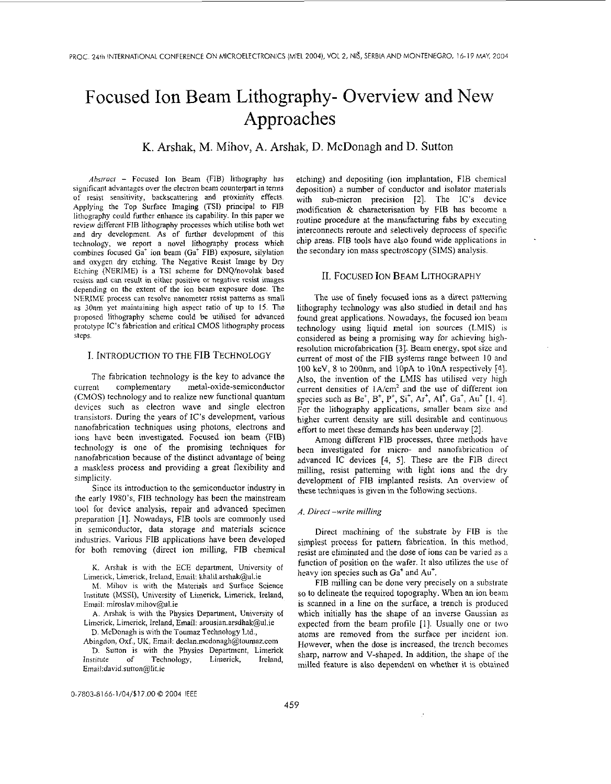# Focused Ion Beam Lithography- Overview and New Approaches

K. Arshak, M. Mihov, **A.** Arshak, D. McDonagh and D. Sutton

*Abstract* - Focused Ion Beam (FIB) lithography has significant advantages over the electron beam counterpart in terms of resist sensitivity, backscattering and proximity effects. Applying the Top Surface Imaging (TSI) principal to FIB lithography could further enhance its capability. **In** this paper we review different FIB lithography processes which utilise both wet and **dry** development. As of further development of this technology, we report a novel lithography process which combines focused  $Ga<sup>+</sup>$  ion beam ( $Ga<sup>+</sup>$  FIB) exposure, silylation and oxygen dry etching. The Negative Resist Image by Dry Etching (NERIME) is a TSI scheme for DNQ/novolak based resists and can result in either positive or negative resist images depending on the extent of the ion beam exposure dose. The NERlMF process can resolve nanometer resist patterns as small as 30nm yet maintaining high aspect ratio of up to 15. The proposed lithography scheme could be utilised for advanced prototype IC's fabrication and critical CMOS lithography process steps.

# I. INTRODUCTION TO THE FIB TECHNOLOGY

The fabrication technology is the key to advance the current complementary metal-oxide-semiconductor (CMOS) technology and to realize new functional quantum devices such **as** electron wave and single electron transistors. During the years of IC's development, various nanofabrication techniques using photons, electrons and ions have been investigated. Focused ion beam (FIB) technology is one of the promising techniques for nanofabrication because of the distinct advantage of being a maskless process and providing a great flexibility and simplicity.

Since its introduction to the semiconductor industry in the early 1980's, FIB technology has been the mainstream tool for device analysis, repair and advanced specimen preparation **[l].** Nowadays, FIB tools are commonly used in semiconductor, data storage and materials science industries. Various FIB applications have been developed for both removing (direct ion milling, FIB chemical

K. Arshak is with the ECE department, University of Limerick, Limerick, Ircland, Email: khalil.arshak@ul.ie

**h4.** Mihov is with the Materials and Surface Science Institute (MSSI), University of Limerick, Limerick, Ireland, Email: miroslav.mihov@ul.ie

A. Arshak is with the Physics Department, University of Limcrick, Limerick, Ireland, Email: arousian.arsdhak@ul.ie D. McDonagh **is** with the Toumaz Technology Ltd.,

Abingdon, Oxf., UK, Email: [declan.rncdonagh@toumaz.com](mailto:declan.rncdonagh@toumaz.com)

D. Sutton is with the Physics Department, Limerick<br>stitute of Technology, Limerick, Ireland, Institute of Technology, Limerick, Ireland, Email:david.sutton@lit.ie

etching) and depositing (ion implantation, FIB chemical deposition) a number of conductor and isolator materials with sub-micron precision [2]. The IC's device modification & characterisation by FIB has become a routine procedure at the manufacturing fabs by executing interconnects reroute and selectively deprocess of specific chip areas. FIB tools have also found wide applications in the secondary ion mass spectroscopy (SIMS) analysis.

### 11. FOCUSED ION BEAM LITHOGRAPHY

The use of finely focused ions as a direct patterning lithography technology was also studied in detail and has found great applications. Nowadays, the focused ion beam technology using liquid metal ion sources (LMIS) is considered as being a promising way for achieving highresolution microfabrication **[3].** Beam energy, spot size and current of most of the FIB systems range between IO and 100 keV, 8 to 200nm, and lOpA to lOnA respectively [4]. Also, the invention of the LMIS has utilised very high current densities of  $1A/cm^2$  and the use of different ion species such as  $Be^{+}$ ,  $B^{+}$ ,  $P^{+}$ ,  $Si^{+}$ ,  $Ar^{+}$ ,  $Al^{+}$ ,  $Ga^{+}$ ,  $Au^{+}$  [1, 4]. For the lithography applications, smaller beam size and higher current density are still desirable and continuous effort to meet these demands has been underway [2].

Among different FIB processes, three methods have been investigated for micro- and nanofabrication of advanced IC devices **[4, 51.** These are the FIB direct milling, resist patterning with light ions and the dry development of FIB implanted resists. An overview of these techniques is given in the following sections.

# *A. Dirccf -write miNing*

Direct machining of the substrate by FIB is the simplest process for pattern fabrication. In this method, resist are eliminated and the dose of ions can be varied **as** a function of position on the wafer. It also utilizes the use of heavy ion species such as  $Ga<sup>+</sup>$  and  $Au<sup>+</sup>$ .

FIB milling can be done very precisely on a substrate so to delineate the required topography. When an ion beam is scanned in **a** line on the surface, **a** trench is produced which initially has the shape of an inverse Gaussian as expected from the beam profile **[I].** Usually one or two atoms are removed from the surface per incident ion. However, when the dose is increased, the trench becomes sharp, narrow and V-shaped. In addition, the shape of the milled feature is also dependent on whether it is obtained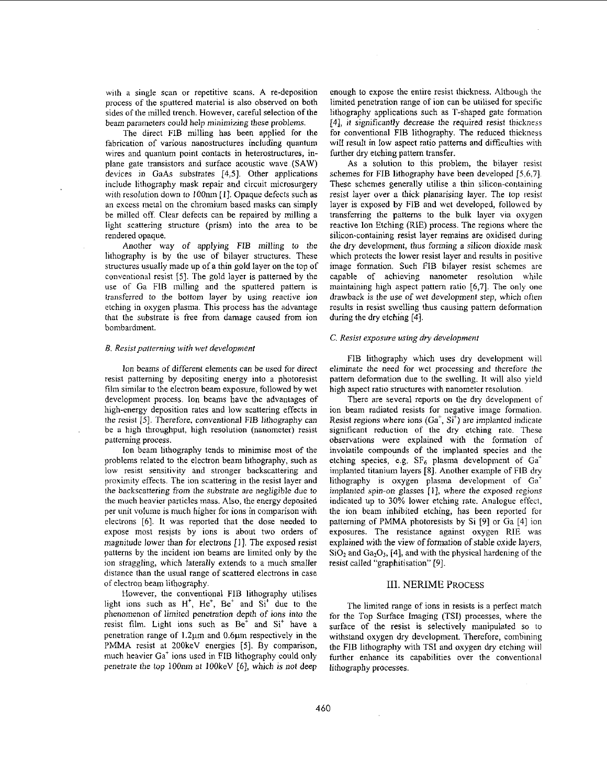with a single scan or repetitive scans. A re-deposition process of the sputtered material is also observed on both sides of the milled trench. However, careful selection of the beam parameters could help minimizing these problems.

The direct FIB milling has been applied for the fabrication of various nanostructures including quantum wires and quantum point contacts in heterostructures, inplane gate transistors and surface acoustic wave (SAW) devices in GaAs substrates [4,5]. Other applications include lithography mask repair and circuit microsurgery with resolution down to IOOnm [I]. Opaque defects such as an excess metal on the chromium based masks can simply he milled off. Clear defects can be repaired by milling a light scattering structure (prism) into the area to be rendered opaque.

Another way of applying FIB milling to the lithography is by the use of bilayer structures. These structures usually made up of a thin gold layer on the top of conventional resist [5]. The gold layer is patterned by the use of Ga FIB milling and the sputtered pattern is transferred to the bottom layer by using reactive ion etching in oxygen plasma. This process has the advantage that the substrate is free from damage caused from ion bombardment.

## **B.** Resist patterning with wet development

Ion beams of different elements can be used for direct resist patterning by depositing energy into a photoresist film similar to the electron beam exposure, followed by wet development process. Ion beams have the advantages of high-energy deposition rates and low scattering effects in the resist [5]. Therefore, conventional FIB lithography can be a high throughput, high resolution (nanometer) resist patterning process.

Ion beam lithography tends to minimise most of the problems related to the electron beam lithography, such as low resist sensitivity and stronger backscattering and proximity effects. The ion scattering in the resist layer and the backscattering from the substrate are negligible due to the much heavier particles mass. **Also,** the energy deposited per unit volume is much higher for ions in comparison with electrons [6]. It was reported that the dose needed to expose most resists by ions is about two orders of magnitude lower than for electrons [I]. The exposed resist patterns by the incident ion beams are limited only by the ion straggling, which laterally extends to a much smaller distance than the usual range of scattered electrons in case of electron beam lithography.

However, the conventional FIB lithography utilises light ions such as  $H^+$ ,  $He^+$ ,  $Be^+$  and  $Si^+$  due to the phenomenon *of* limited penetration depth of ions into the resist film. Light ions such **as** Be' and Si' have a penetration range of  $1.2\mu$ m and  $0.6\mu$ m respectively in the PMMA resist at 2OOkeV energies *[5].* By comparison, much heavier Ga' ions used in FIB lithography could only penetrate the top IOOnm at lOOkeV [6], which **is** not deep

enough to expose the entire resist thickness. Although the limited penetration range of ion can be utilised for specific lithography applications such as T-shaped gate formation 141, it significantly decrease the required resist thickness for conventional FIB lithography. The reduced thickness will result in low aspect ratio patterns and difficulties with further dry etching pattern transfer.

**As** a solution to this problem, the bilayer resist schemes for FIB lithography have been developed [5,6,7]. These schemes generally utilise a thin silicon-containing resist layer over a thick planarising layer. The top resist layer is exposed by FIB and wet developed, followed by transferring the patterns to the bulk layer via oxygen reactive Ion Etching (RIE) process. The regions where the silicon-containing resist layer remains are oxidised during the *dry* development, thus forming a silicon dioxide mask which protects the lower resist layer and results in positive image formation. Such FIB bilayer resist schemes are capable of achieving nanometer resolution while maintaining high aspect pattern ratio [6,7]. The only one drawback **is** the use of wet development step, which often results in resist swelling thus causing pattern deformation during the dry etching [4].

# C. Resist exposure using dry development

FIB lithography which uses dry development will eliminate the need for wet processing and therefore the pattern deformation due to the swelling. It will also yield high aspect ratio structures with nanometer resolution.

There are several reports on the dry development of ion beam radiated resists for negative image formation. Resist regions where ions  $(Ga^+, Si^+)$  are implanted indicate significant reduction of the dry etching rate. These observations were explained with the formation of involatile compounds of the implanted species and the etching species, e.g.  $SF_6$  plasma development of  $Ga^+$ implanted titanium layers **[8].** Another example of FIB dry lithography is oxygen plasma development of Ga' implanted spin-on glasses [I], where the exposed regions indicated up to 30% lower etching rate. Analogue effect, the ion beam inhibited etching, has been reported for patterning of **PMMA** photoresists by Si *[9]* or Ga [4] ion exposures. The resistance against oxygen RIE was explained with the view of formation of stable oxide layers, SiO<sub>2</sub> and Ga<sub>2</sub>O<sub>3</sub>, [4], and with the physical hardening of the resist called "graphitisation" *[9].* 

#### 111. NERIME **PROCESS**

The limited range of ions in resists is a perfect match for the Top Surface Imaging (TSI) processes, where the surface of the resist is selectively manipulated so to withstand oxygen dry development. Therefore, combining the FIB lithography with TSI and oxygen dry etching will further enhance its capabilities over the conventional lithography processes.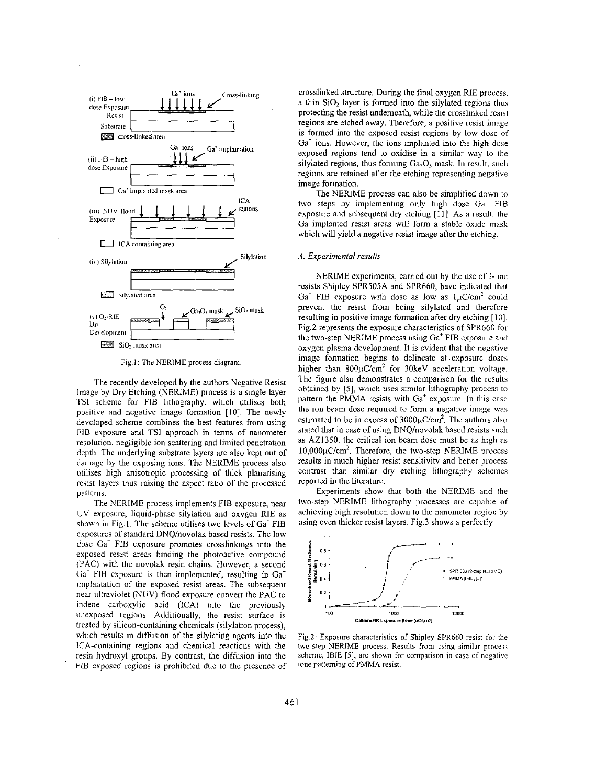

Fig.1: The NERIME process diagram.

The recently developed by the authors Negative Resist Image by Dry Etching (NERIME) process is a single layer TSI scheme for FIB lithography, which utilises both positive and negative image formation [IO]. The newly developed scheme combines the hest features from using FIB exposure and TSI approach in terms of nanometer resolution, negligible ion scattering and limited penetration depth. The underlying substrate layers are also kept out of damage by the exposing ions. The NERIME process also utilises high anisotropic processing of thick planarising resist layers thus raising the aspect ratio of the processed patterns.

The NERIME process implements FIB exposure, near UV exposure, liquid-phase silylation and oxygen RIE as shown in Fig.1. The scheme utilises two levels of Ga' FIB exposures of standard DNQ/novolak based resists. The low dose Ga' FIB exposure promotes crosslinkings into the exposed resist areas binding the photoactive compound (PAC) with the novolak resin chains. However, a second Ga<sup>+</sup> FIB exposure is then implemented, resulting in Ga<sup>+</sup> implantation of the exposed resist areas. The subsequent near ultraviolet (NUV) flood exposure convert the PAC to indene carboxylic acid (ICA) into the previously unexposed regions. Additionally, the resist surface is treated by silicon-containing chemicals (silylation process), which results in diffusion of the silylating agents into the ICA-containing regions and chemical reactions with the resin hydroxyl groups. By contrast, the diffusion into the FIB exposed regions is prohibited due to the presence of

crosslinked structure. During the final oxygen RIE process, a thin SiO, layer is formed into the silylated regions thus protecting the resist underneath, while the crosslinked resist regions are etched away. Therefore, a positive resist image is formed into the exposed resist regions by low dose of  $Ga<sup>+</sup>$  ions. However, the ions implanted into the high dose exposed regions tend to oxidise in a similar way to the silylated regions, thus forming  $Ga<sub>2</sub>O<sub>3</sub>$  mask. In result, such regions are retained after the etching representing negative image formation.

The NERIME process can also be simplified down to two steps by implementing only high dose Ga' FIB exposure and subsequent dry etching [I I]. As a result, the Ga implanted resist areas will form a stable oxide mask which will yield a negative resist image after the etching.

#### *A. Experimenfol results*

NERIME experiments, carried out by the use of I-line resists Shipley SPR505A and SPR660, have indicated that  $Ga<sup>+</sup>$  FIB exposure with dose as low as  $1\mu$ C/cm<sup>2</sup> could prevent the resist from being silylated and therefore resulting in positive image formation after dry etching [10]. Fig.2 represents the exposure characteristics of SPR660 for the two-step NERIME process using Ga' FIB exposure and oxygen plasma development. It is evident that the negative image formation begins to delineate at .exposure doses higher than  $800\mu$ C/cm<sup>2</sup> for 30keV acceleration voltage. The figure also demonstrates a comparison for the results obtained by **[SI,** which uses similar lithography process to pattern the PMMA resists with  $Ga<sup>+</sup>$  exposure. In this case the ion beam dose required to form a negative image was estimated to be in excess of  $3000\mu$ C/cm<sup>2</sup>. The authors also stated that in case of using DNQ/novolak based resists such as AZ1350, the critical ion beam dose must be as high as  $10,000\mu$ C/cm<sup>2</sup>. Therefore, the two-step NERIME process results in much higher resist sensitivity and hetier process contrast than similar *dry* etching lithography schemes reported in the literature.

Experiments show that both the NERIME and the two-step NERIME lithography processes are capable of achieving high resolution down to the nanometer region by using even thicker resist layers. Fig.3 shows a perfectly



Fig.2: Exposure characteristics of Shipley SPR660 resist for the two-step NERIME process. Results from using similar process scheme, IBlE **[SI,** are shown for comparison in case of ncgative tone patterning of PMMA resist.